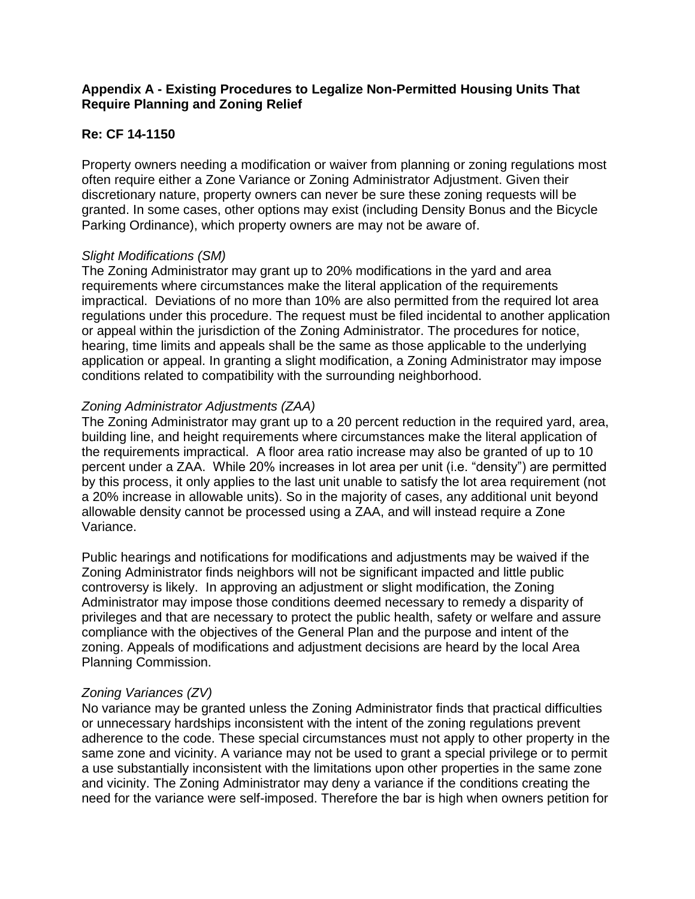## **Appendix A - Existing Procedures to Legalize Non-Permitted Housing Units That Require Planning and Zoning Relief**

## **Re: CF 14-1150**

Property owners needing a modification or waiver from planning or zoning regulations most often require either a Zone Variance or Zoning Administrator Adjustment. Given their discretionary nature, property owners can never be sure these zoning requests will be granted. In some cases, other options may exist (including Density Bonus and the Bicycle Parking Ordinance), which property owners are may not be aware of.

#### *Slight Modifications (SM)*

The Zoning Administrator may grant up to 20% modifications in the yard and area requirements where circumstances make the literal application of the requirements impractical. Deviations of no more than 10% are also permitted from the required lot area regulations under this procedure. The request must be filed incidental to another application or appeal within the jurisdiction of the Zoning Administrator. The procedures for notice, hearing, time limits and appeals shall be the same as those applicable to the underlying application or appeal. In granting a slight modification, a Zoning Administrator may impose conditions related to compatibility with the surrounding neighborhood.

### *Zoning Administrator Adjustments (ZAA)*

The Zoning Administrator may grant up to a 20 percent reduction in the required yard, area, building line, and height requirements where circumstances make the literal application of the requirements impractical. A floor area ratio increase may also be granted of up to 10 percent under a ZAA. While 20% increases in lot area per unit (i.e. "density") are permitted by this process, it only applies to the last unit unable to satisfy the lot area requirement (not a 20% increase in allowable units). So in the majority of cases, any additional unit beyond allowable density cannot be processed using a ZAA, and will instead require a Zone Variance.

Public hearings and notifications for modifications and adjustments may be waived if the Zoning Administrator finds neighbors will not be significant impacted and little public controversy is likely. In approving an adjustment or slight modification, the Zoning Administrator may impose those conditions deemed necessary to remedy a disparity of privileges and that are necessary to protect the public health, safety or welfare and assure compliance with the objectives of the General Plan and the purpose and intent of the zoning. Appeals of modifications and adjustment decisions are heard by the local Area Planning Commission.

# *Zoning Variances (ZV)*

No variance may be granted unless the Zoning Administrator finds that practical difficulties or unnecessary hardships inconsistent with the intent of the zoning regulations prevent adherence to the code. These special circumstances must not apply to other property in the same zone and vicinity. A variance may not be used to grant a special privilege or to permit a use substantially inconsistent with the limitations upon other properties in the same zone and vicinity. The Zoning Administrator may deny a variance if the conditions creating the need for the variance were self-imposed. Therefore the bar is high when owners petition for